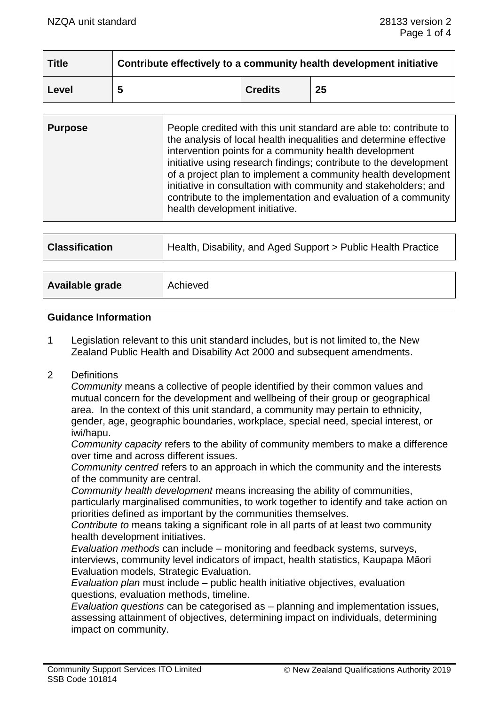| <b>Title</b> | Contribute effectively to a community health development initiative |                |    |
|--------------|---------------------------------------------------------------------|----------------|----|
| Level        | 5                                                                   | <b>Credits</b> | 25 |

| <b>Purpose</b> | People credited with this unit standard are able to: contribute to<br>the analysis of local health inequalities and determine effective<br>intervention points for a community health development<br>initiative using research findings; contribute to the development<br>of a project plan to implement a community health development<br>initiative in consultation with community and stakeholders; and<br>contribute to the implementation and evaluation of a community<br>health development initiative. |
|----------------|----------------------------------------------------------------------------------------------------------------------------------------------------------------------------------------------------------------------------------------------------------------------------------------------------------------------------------------------------------------------------------------------------------------------------------------------------------------------------------------------------------------|
|                |                                                                                                                                                                                                                                                                                                                                                                                                                                                                                                                |

| <b>Classification</b> | Health, Disability, and Aged Support > Public Health Practice |
|-----------------------|---------------------------------------------------------------|
|                       |                                                               |
| Available grade       | Achieved                                                      |

#### **Guidance Information**

- 1 Legislation relevant to this unit standard includes, but is not limited to, the New Zealand Public Health and Disability Act 2000 and subsequent amendments.
- 2 Definitions

*Community* means a collective of people identified by their common values and mutual concern for the development and wellbeing of their group or geographical area. In the context of this unit standard, a community may pertain to ethnicity, gender, age, geographic boundaries, workplace, special need, special interest, or iwi/hapu.

*Community capacity* refers to the ability of community members to make a difference over time and across different issues.

*Community centred* refers to an approach in which the community and the interests of the community are central.

*Community health development* means increasing the ability of communities, particularly marginalised communities, to work together to identify and take action on priorities defined as important by the communities themselves.

*Contribute to* means taking a significant role in all parts of at least two community health development initiatives.

*Evaluation methods* can include – monitoring and feedback systems, surveys, interviews, community level indicators of impact, health statistics, Kaupapa Māori Evaluation models, Strategic Evaluation.

*Evaluation plan* must include – public health initiative objectives, evaluation questions, evaluation methods, timeline.

*Evaluation questions* can be categorised as – planning and implementation issues, assessing attainment of objectives, determining impact on individuals, determining impact on community.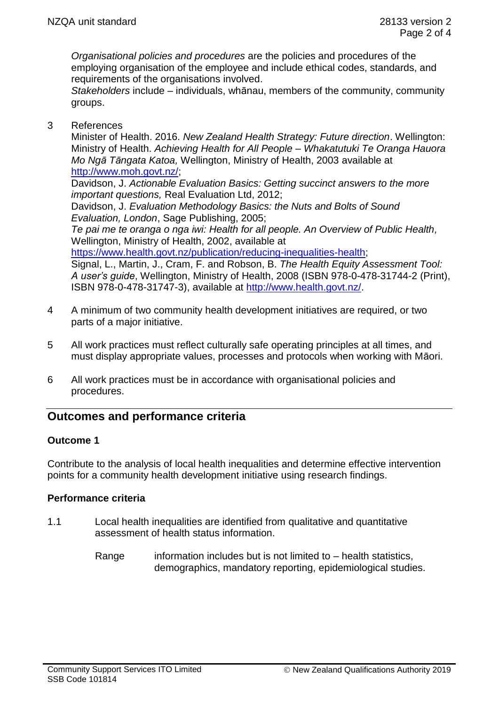*Organisational policies and procedures* are the policies and procedures of the employing organisation of the employee and include ethical codes, standards, and requirements of the organisations involved.

*Stakeholders* include – individuals, whānau, members of the community, community groups.

3 References

Minister of Health. 2016. *New Zealand Health Strategy: Future direction*. Wellington: Ministry of Health. *Achieving Health for All People – Whakatutuki Te Oranga Hauora Mo Ngā Tāngata Katoa,* Wellington, Ministry of Health, 2003 available at [http://www.moh.govt.nz/;](http://www.moh.govt.nz/)

Davidson, J. *Actionable Evaluation Basics: Getting succinct answers to the more important questions,* Real Evaluation Ltd, 2012;

Davidson, J. *Evaluation Methodology Basics: the Nuts and Bolts of Sound Evaluation, London*, Sage Publishing, 2005;

*Te pai me te oranga o nga iwi: Health for all people. An Overview of Public Health,* Wellington, Ministry of Health, 2002, available at

[https://www.health.govt.nz/publication/reducing-inequalities-health;](https://www.health.govt.nz/publication/reducing-inequalities-health)

Signal, L., Martin, J., Cram, F. and Robson, B. *The Health Equity Assessment Tool: A user's guide*, Wellington, Ministry of Health, 2008 (ISBN 978-0-478-31744-2 (Print), ISBN 978-0-478-31747-3), available at [http://www.health.govt.nz/.](http://www.health.govt.nz/)

- 4 A minimum of two community health development initiatives are required, or two parts of a major initiative.
- 5 All work practices must reflect culturally safe operating principles at all times, and must display appropriate values, processes and protocols when working with Māori.
- 6 All work practices must be in accordance with organisational policies and procedures.

# **Outcomes and performance criteria**

# **Outcome 1**

Contribute to the analysis of local health inequalities and determine effective intervention points for a community health development initiative using research findings.

# **Performance criteria**

- 1.1 Local health inequalities are identified from qualitative and quantitative assessment of health status information.
	- Range information includes but is not limited to health statistics, demographics, mandatory reporting, epidemiological studies.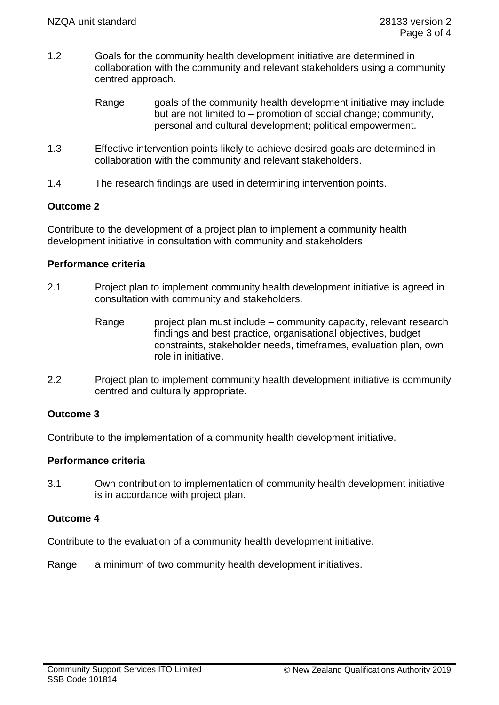- 1.2 Goals for the community health development initiative are determined in collaboration with the community and relevant stakeholders using a community centred approach.
	- Range same goals of the community health development initiative may include but are not limited to – promotion of social change; community, personal and cultural development; political empowerment.
- 1.3 Effective intervention points likely to achieve desired goals are determined in collaboration with the community and relevant stakeholders.
- 1.4 The research findings are used in determining intervention points.

### **Outcome 2**

Contribute to the development of a project plan to implement a community health development initiative in consultation with community and stakeholders.

### **Performance criteria**

- 2.1 Project plan to implement community health development initiative is agreed in consultation with community and stakeholders.
	- Range project plan must include community capacity, relevant research findings and best practice, organisational objectives, budget constraints, stakeholder needs, timeframes, evaluation plan, own role in initiative.
- 2.2 Project plan to implement community health development initiative is community centred and culturally appropriate.

# **Outcome 3**

Contribute to the implementation of a community health development initiative.

# **Performance criteria**

3.1 Own contribution to implementation of community health development initiative is in accordance with project plan.

# **Outcome 4**

Contribute to the evaluation of a community health development initiative.

Range a minimum of two community health development initiatives.